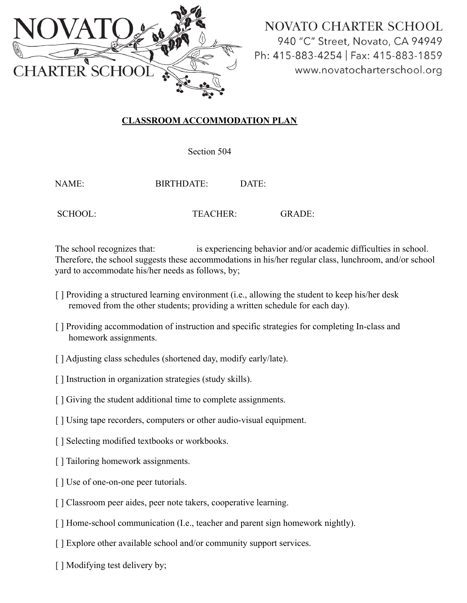

**NOVATO CHARTER SCHOOL** 940 "C" Street, Novato, CA 94949 Ph: 415-883-4254 | Fax: 415-883-1859 www.novatocharterschool.org

## **CLASSROOM ACCOMMODATION PLAN**

Section 504

NAME: BIRTHDATE: DATE:

SCHOOL: TEACHER: GRADE:

The school recognizes that: is experiencing behavior and/or academic difficulties in school. Therefore, the school suggests these accommodations in his/her regular class, lunchroom, and/or school yard to accommodate his/her needs as follows, by;

- [ ] Providing a structured learning environment (i.e., allowing the student to keep his/her desk removed from the other students; providing a written schedule for each day).
- [ ] Providing accommodation of instruction and specific strategies for completing In-class and homework assignments.
- [ ] Adjusting class schedules (shortened day, modify early/late).
- [] Instruction in organization strategies (study skills).
- [ ] Giving the student additional time to complete assignments.
- [  $\vert$  Using tape recorders, computers or other audio-visual equipment.
- [] Selecting modified textbooks or workbooks.
- [ ] Tailoring homework assignments.
- [ ] Use of one-on-one peer tutorials.
- [  $\vert$  Classroom peer aides, peer note takers, cooperative learning.
- [ ] Home-school communication (I.e., teacher and parent sign homework nightly).
- [ ] Explore other available school and/or community support services.
- [ ] Modifying test delivery by;